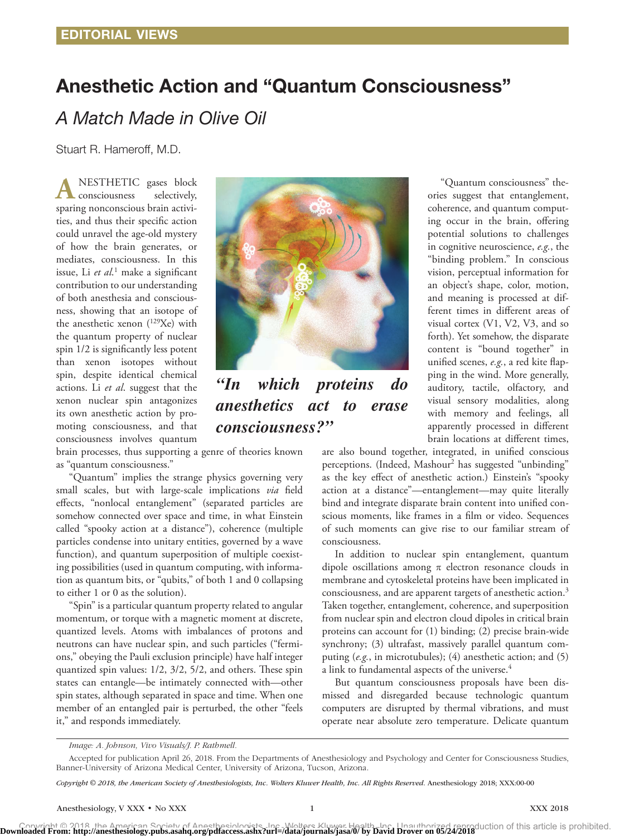# Anesthetic Action and "Quantum Consciousness"

*A Match Made in Olive Oil*

Stuart R. Hameroff, M.D.

NESTHETIC gases block<br>consciousness selectively, consciousness sparing nonconscious brain activities, and thus their specific action could unravel the age-old mystery of how the brain generates, or mediates, consciousness. In this issue, Li *et al*. 1 make a significant contribution to our understanding of both anesthesia and consciousness, showing that an isotope of the anesthetic xenon (129Xe) with the quantum property of nuclear spin 1/2 is significantly less potent than xenon isotopes without spin, despite identical chemical actions. Li *et al*. suggest that the xenon nuclear spin antagonizes its own anesthetic action by promoting consciousness, and that consciousness involves quantum



*"In which proteins do anesthetics act to erase consciousness?"*

brain processes, thus supporting a genre of theories known as "quantum consciousness."

"Quantum" implies the strange physics governing very small scales, but with large-scale implications *via* field effects, "nonlocal entanglement" (separated particles are somehow connected over space and time, in what Einstein called "spooky action at a distance"), coherence (multiple particles condense into unitary entities, governed by a wave function), and quantum superposition of multiple coexisting possibilities (used in quantum computing, with information as quantum bits, or "qubits," of both 1 and 0 collapsing to either 1 or 0 as the solution).

"Spin" is a particular quantum property related to angular momentum, or torque with a magnetic moment at discrete, quantized levels. Atoms with imbalances of protons and neutrons can have nuclear spin, and such particles ("fermions," obeying the Pauli exclusion principle) have half integer quantized spin values: 1/2, 3/2, 5/2, and others. These spin states can entangle—be intimately connected with—other spin states, although separated in space and time. When one member of an entangled pair is perturbed, the other "feels it," and responds immediately.

"Quantum consciousness" theories suggest that entanglement, coherence, and quantum computing occur in the brain, offering potential solutions to challenges in cognitive neuroscience, *e.g.*, the "binding problem." In conscious vision, perceptual information for an object's shape, color, motion, and meaning is processed at different times in different areas of visual cortex (V1, V2, V3, and so forth). Yet somehow, the disparate content is "bound together" in unified scenes, *e.g.*, a red kite flapping in the wind. More generally, auditory, tactile, olfactory, and visual sensory modalities, along with memory and feelings, all apparently processed in different brain locations at different times,

are also bound together, integrated, in unified conscious perceptions. (Indeed, Mashour<sup>2</sup> has suggested "unbinding" as the key effect of anesthetic action.) Einstein's "spooky action at a distance"—entanglement—may quite literally bind and integrate disparate brain content into unified conscious moments, like frames in a film or video. Sequences of such moments can give rise to our familiar stream of consciousness.

In addition to nuclear spin entanglement, quantum dipole oscillations among  $\pi$  electron resonance clouds in membrane and cytoskeletal proteins have been implicated in consciousness, and are apparent targets of anesthetic action.<sup>3</sup> Taken together, entanglement, coherence, and superposition from nuclear spin and electron cloud dipoles in critical brain proteins can account for (1) binding; (2) precise brain-wide synchrony; (3) ultrafast, massively parallel quantum computing (*e.g.*, in microtubules); (4) anesthetic action; and (5) a link to fundamental aspects of the universe.<sup>4</sup>

But quantum consciousness proposals have been dismissed and disregarded because technologic quantum computers are disrupted by thermal vibrations, and must operate near absolute zero temperature. Delicate quantum

*Copyright © 2018, the American Society of Anesthesiologists, Inc. Wolters Kluwer Health, Inc. All Rights Reserved.* Anesthesiology 2018; XXX:00-00

Convright @ 2018, the American Society of Anesthesiologists, Inc. Wolters Kluwer Health, Inc. Unauthorized reproduction of this article is prohibited.<br>Downloaded From: http://anesthesiology.pubs.asahq.org/pdfaccess.ashx?ur

*Image: A. Johnson, Vivo Visuals/J. P. Rathmell.*

Accepted for publication April 26, 2018. From the Departments of Anesthesiology and Psychology and Center for Consciousness Studies, Banner-University of Arizona Medical Center, University of Arizona, Tucson, Arizona.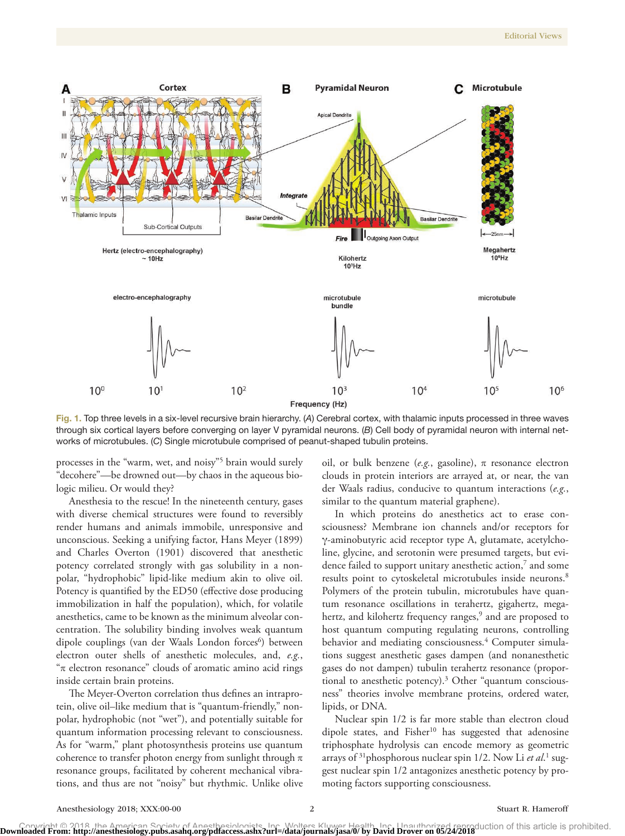

Frequency (Hz)

Fig. 1. Top three levels in a six-level recursive brain hierarchy. (*A*) Cerebral cortex, with thalamic inputs processed in three waves through six cortical layers before converging on layer V pyramidal neurons. (*B*) Cell body of pyramidal neuron with internal networks of microtubules. (*C*) Single microtubule comprised of peanut-shaped tubulin proteins.

processes in the "warm, wet, and noisy"5 brain would surely "decohere"—be drowned out—by chaos in the aqueous biologic milieu. Or would they?

Anesthesia to the rescue! In the nineteenth century, gases with diverse chemical structures were found to reversibly render humans and animals immobile, unresponsive and unconscious. Seeking a unifying factor, Hans Meyer (1899) and Charles Overton (1901) discovered that anesthetic potency correlated strongly with gas solubility in a nonpolar, "hydrophobic" lipid-like medium akin to olive oil. Potency is quantified by the ED50 (effective dose producing immobilization in half the population), which, for volatile anesthetics, came to be known as the minimum alveolar concentration. The solubility binding involves weak quantum dipole couplings (van der Waals London forces<sup>6</sup>) between electron outer shells of anesthetic molecules, and, *e.g.*, "π electron resonance" clouds of aromatic amino acid rings inside certain brain proteins.

The Meyer-Overton correlation thus defines an intraprotein, olive oil–like medium that is "quantum-friendly," nonpolar, hydrophobic (not "wet"), and potentially suitable for quantum information processing relevant to consciousness. As for "warm," plant photosynthesis proteins use quantum coherence to transfer photon energy from sunlight through  $\pi$ resonance groups, facilitated by coherent mechanical vibrations, and thus are not "noisy" but rhythmic. Unlike olive oil, or bulk benzene ( $e.g.,$  gasoline),  $\pi$  resonance electron clouds in protein interiors are arrayed at, or near, the van der Waals radius, conducive to quantum interactions (*e.g.*, similar to the quantum material graphene).

In which proteins do anesthetics act to erase consciousness? Membrane ion channels and/or receptors for γ-aminobutyric acid receptor type A, glutamate, acetylcholine, glycine, and serotonin were presumed targets, but evidence failed to support unitary anesthetic action,<sup>7</sup> and some results point to cytoskeletal microtubules inside neurons.<sup>8</sup> Polymers of the protein tubulin, microtubules have quantum resonance oscillations in terahertz, gigahertz, megahertz, and kilohertz frequency ranges,<sup>9</sup> and are proposed to host quantum computing regulating neurons, controlling behavior and mediating consciousness.<sup>4</sup> Computer simulations suggest anesthetic gases dampen (and nonanesthetic gases do not dampen) tubulin terahertz resonance (proportional to anesthetic potency).3 Other "quantum consciousness" theories involve membrane proteins, ordered water, lipids, or DNA.

Nuclear spin 1/2 is far more stable than electron cloud dipole states, and Fisher<sup>10</sup> has suggested that adenosine triphosphate hydrolysis can encode memory as geometric arrays of <sup>31</sup>phosphorous nuclear spin 1/2. Now Li et al.<sup>1</sup> suggest nuclear spin 1/2 antagonizes anesthetic potency by promoting factors supporting consciousness.

Downloaded From: http://anesthesiology.pubs.asahq.org/pdfaccess.ashx?url=/data/journals/jasa/0/ by David Drover on 05/24/2018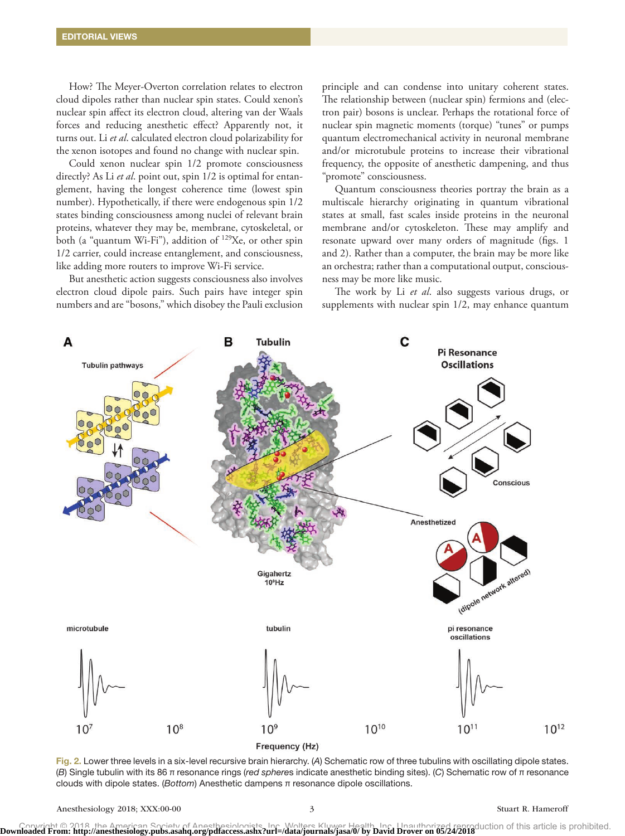How? The Meyer-Overton correlation relates to electron cloud dipoles rather than nuclear spin states. Could xenon's nuclear spin affect its electron cloud, altering van der Waals forces and reducing anesthetic effect? Apparently not, it turns out. Li *et al*. calculated electron cloud polarizability for the xenon isotopes and found no change with nuclear spin.

Could xenon nuclear spin 1/2 promote consciousness directly? As Li *et al*. point out, spin 1/2 is optimal for entanglement, having the longest coherence time (lowest spin number). Hypothetically, if there were endogenous spin 1/2 states binding consciousness among nuclei of relevant brain proteins, whatever they may be, membrane, cytoskeletal, or both (a "quantum Wi-Fi"), addition of <sup>129</sup>Xe, or other spin 1/2 carrier, could increase entanglement, and consciousness, like adding more routers to improve Wi-Fi service.

But anesthetic action suggests consciousness also involves electron cloud dipole pairs. Such pairs have integer spin numbers and are "bosons," which disobey the Pauli exclusion

principle and can condense into unitary coherent states. The relationship between (nuclear spin) fermions and (electron pair) bosons is unclear. Perhaps the rotational force of nuclear spin magnetic moments (torque) "tunes" or pumps quantum electromechanical activity in neuronal membrane and/or microtubule proteins to increase their vibrational frequency, the opposite of anesthetic dampening, and thus "promote" consciousness.

Quantum consciousness theories portray the brain as a multiscale hierarchy originating in quantum vibrational states at small, fast scales inside proteins in the neuronal membrane and/or cytoskeleton. These may amplify and resonate upward over many orders of magnitude (figs. 1 and 2). Rather than a computer, the brain may be more like an orchestra; rather than a computational output, consciousness may be more like music.

The work by Li *et al*. also suggests various drugs, or supplements with nuclear spin 1/2, may enhance quantum



Fig. 2. Lower three levels in a six-level recursive brain hierarchy. (*A*) Schematic row of three tubulins with oscillating dipole states. (*B*) Single tubulin with its 86 π resonance rings (*red sphere*s indicate anesthetic binding sites). (*C*) Schematic row of π resonance clouds with dipole states. (*Bottom*) Anesthetic dampens π resonance dipole oscillations.

Downloaded From: http://anesthesiology.pubs.asahq.org/pdfaccess.ashx?url=/data/journals/jasa/0/ by David Drover on 05/24/2018